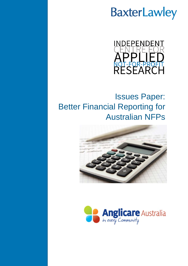# **BaxterLawley**



## Issues Paper: Better Financial Reporting for Australian NFPs



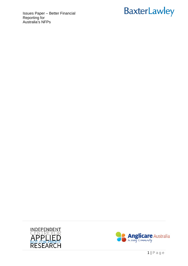Issues Paper – Better Financial Reporting for Australia's NFPs

## **BaxterLawley**



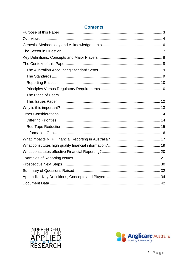## **Contents**



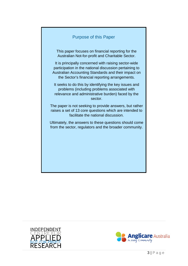## Purpose of this Paper

This paper focuses on financial reporting for the Australian Not-for-profit and Charitable Sector.

It is principally concerned with raising sector-wide participation in the national discussion pertaining to Australian Accounting Standards and their impact on the Sector's financial reporting arrangements.

It seeks to do this by identifying the key issues and problems (including problems associated with relevance and administrative burden) faced by the sector.

The paper is not seeking to provide answers, but rather raises a set of 13 core questions which are intended to facilitate the national discussion.

Ultimately, the answers to these questions should come from the sector, regulators and the broader community.



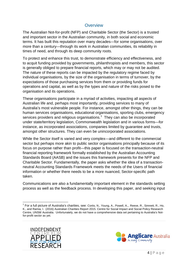## **Overview**

<span id="page-4-0"></span>The Australian Not-for-profit (NFP) and Charitable Sector (the Sector) is a trusted and important sector in the Australian community, in both social and economic terms. It has built this reputation over many decades—for some organisations, over more than a century—through its work in Australian communities, its reliability in times of need, and through its deep community roots.

To protect and enhance this trust, to demonstrate efficiency and effectiveness, and to acquit funding provided by governments, philanthropists and members, this sector is generally obliged to prepare financial reports, which may or may not be audited. The nature of these reports can be impacted by the regulatory regime faced by individual organisations, by the size of the organisation in terms of turnover, by the expectations of those purchasing services from them or providing funds for operations and capital, as well as by the types and nature of the risks posed to the organisation and its operations.

These organisations participate in a myriad of activities, impacting all aspects of Australian life and, perhaps most importantly, providing services to many of Australia's most vulnerable people. For instance, amongst other things, they can be human services organisations, educational organisations, sporting clubs, emergency services providers and religious organisations. $1$  They can also be incorporated under state/territory legislation, Commonwealth legislation and in various forms—for instance, as incorporated associations, companies limited by guarantee and trusts, amongst other structures. They can even be unincorporated associations.

While the Sector itself is varied and very complex—and different to the commercial sector but perhaps more akin to public sector organisations principally because of its focus on purpose rather than profit—this paper is focused on the transaction-neutral financial reporting framework formally established by the Australian Accounting Standards Board (AASB) and the issues this framework presents for the NFP and Charitable Sector. Fundamentally, the paper asks whether the idea of a transactionneutral Accounting Standards Framework meets the needs of the Users of financial information or whether there needs to be a more nuanced, Sector-specific path taken.

Communications are also a fundamentally important element in the standards setting process as well as the feedback process. In developing this paper, and seeking input

<span id="page-4-1"></span> $1$  For a full picture of Australia's charities, see: Cortis, N., Young, A., Powell, A.,. Reeve, R., Simnett, R., Ho, K., and Ramia, I. (2016) Australian Charities Report 2015. Centre for Social Impact and Social Policy Research Centre, UNSW Australia. Unfortunately, we do not have a comprehensive data set pertaining to Australia's Notfor-profit sector as yet.



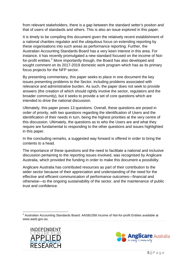from relevant stakeholders, there is a gap between the standard setter's positon and that of users of standards and others. This is also an issue explored in this paper.

It is timely to be compiling this document given the relatively recent establishment of a national charities regulator and the ubiquitous focus on extending reporting by these organisations into such areas as performance reporting. Further, the Australian Accounting Standards Board has a very keen interest in this area. For instance, it has recently promulgated a new standard focused on the income of Not-for-profit entities.<sup>[2](#page-5-0)</sup> More importantly though, the Board has also developed and sought comment on its 2017-2019 domestic work program which has as its primary focus projects for the NFP sector.

By presenting commentary, this paper seeks to place in one document the key issues presenting problems to the Sector, including problems associated with relevance and administrative burden. As such, the paper does not seek to provide answers (the creation of which should rightly involve the sector, regulators and the broader community), but it seeks to provide a set of core questions which are intended to drive the national discussion.

Ultimately, this paper poses 13 questions. Overall, these questions are posed in order of priority, with two questions regarding the identification of Users and the identification of their needs in turn, being the highest priorities at the very centre of this discussion. Ultimately, the questions as to who the Users are and what they require are fundamental to responding to the other questions and issues highlighted in this paper.

In the concluding remarks, a suggested way forward is offered in order to bring the contents to a head.

The importance of these questions and the need to facilitate a national and inclusive discussion pertaining to the reporting issues involved, was recognised by Anglicare Australia, which provided the funding in order to make this document a possibility.

Anglicare Australia has contributed resources as part of their contribution to the wider sector because of their appreciation and understanding of the need for the effective and efficient communication of performance outcomes—financial and otherwise—to the ongoing sustainability of the sector, and the maintenance of public trust and confidence.

<span id="page-5-0"></span><sup>&</sup>lt;sup>2</sup> Australian Accounting Standards Board: AASB1058 Income of Not-for-profit Entities available at www.aasb.gov.au.



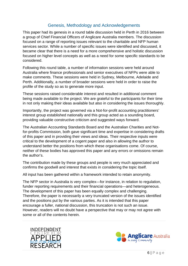## Genesis, Methodology and Acknowledgements

<span id="page-6-0"></span>This paper had its genesis in a round table discussion held in Perth in 2016 between a group of Chief Financial Officers of Anglicare Australia members. The discussion focused on a range of reporting issues relevant to the charitable and NFP human services sector. While a number of specific issues were identified and discussed, it became clear that there is a need for a more comprehensive and holistic discussion focused on higher level concepts as well as a need for some specific standards to be considered.

Following this round table, a number of information sessions were held around Australia where finance professionals and senior executives of NFPs were able to make comments. These sessions were held in Sydney, Melbourne, Adelaide and Perth. Additionally, a number of broader sessions were held in order to raise the profile of the study so as to generate more input.

These sessions raised considerable interest and resulted in additional comment being made available to the project. We are grateful to the participants for their time in not only making their ideas available but also in considering the issues thoroughly.

Importantly, the project was governed via a Not-for-profit accounting practitioners' interest group established nationally and this group acted as a sounding board, providing valuable constructive criticism and suggested ways forward.

The Australian Accounting Standards Board and the Australian Charities and Notfor-profits Commission, both gave significant time and expertise in considering drafts of this paper and in providing their views and ideas. Their respective inputs were critical to the development of a cogent paper and also in allowing the author to understand better the positions from which these organisations come. Of course, neither of these bodies has approved this paper and any errors or omissions remain the author's.

The contribution made by these groups and people is very much appreciated and confirms the goodwill and interest that exists in considering the topic itself.

All input has been gathered within a framework intended to retain anonymity.

The NFP sector in Australia is very complex—for instance, in relation to regulation, funder reporting requirements and their financial operations—and heterogeneous. The development of this paper has been equally complex and challenging. Therefore, the paper is necessarily a very truncated version of the issues identified and the positions put by the various parties. As it is intended that this paper encourage a fuller, national discussion, this truncation is not such an issue. However, readers will no doubt have a perspective that may or may not agree with some or all of the contents herein.



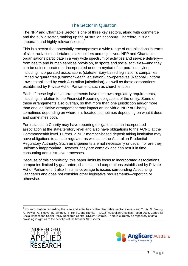## The Sector in Question

<span id="page-7-0"></span>The NFP and Charitable Sector is one of three key sectors, along with commerce and the public sector, making up the Australian economy. Therefore, it is an important and highly relevant sector.<sup>[3](#page-7-1)</sup>

This is a sector that potentially encompasses a wide range of organisations in terms of size, activities undertaken, stakeholders and objectives. NFP and Charitable organisations participate in a very wide spectrum of activities and service delivery from health and human services provision, to sports and social activities—and they can be unincorporated or incorporated under a myriad of corporation styles, including incorporated associations (state/territory-based legislation), companies limited by guarantee (Commonwealth legislation), co-operatives (National Uniform Laws established by each Australian jurisdiction), as well as those corporations established by Private Act of Parliament, such as church entities.

Each of these legislative arrangements have their own regulatory requirements, including in relation to the Financial Reporting obligations of the entity. Some of these arrangements also overlap, so that more than one jurisdiction and/or more than one legislative arrangement may impact an individual NFP or Charity; sometimes depending on where it is located, sometimes depending on what it does and sometimes both.

For instance, a Charity may have reporting obligations as an incorporated association at the state/territory level and also have obligations to the ACNC at the Commonwealth level. Further, a NFP member-based deposit taking institution may have obligations to a state regulator as well as to the Australian Prudential Regulatory Authority. Such arrangements are not necessarily unusual, nor are they uniformly inappropriate. However, they are complex and can result in time consuming administrative processes.

Because of this complexity, this paper limits its focus to incorporated associations, companies limited by guarantee, charities, and corporations established by Private Act of Parliament. It also limits its coverage to issues surrounding Accounting Standards and does not consider other legislative requirements—reporting or otherwise.

<span id="page-7-1"></span> $3$  For information regarding the size and activities of the charitable sector alone, see: Cortis, N., Young, A., Powell, A.. Reeve, R., Simnett, R., Ho, K., and Ramia, I. (2016) Australian Charities Report 2015. Centre for Social Impact and Social Policy Research Centre, UNSW Australia. There is currently no repository of data providing insight as to the activities of the broader NFP sector.



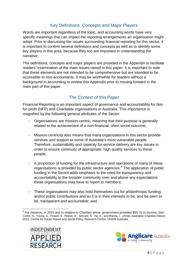## Key Definitions, Concepts and Major Players

<span id="page-8-0"></span>Words are important regardless of the topic, and accounting words have very specific meanings that can impact the reporting arrangements an organisation might adopt. Prior to discussing the issues surrounding financial reporting for this sector, it is important to confirm several definitions and concepts as well as to identify some key players in this area, because they too are important in understanding the narrative.

The definitions, concepts and major players are provided in the Appendix to facilitate readers' examination of the main issues raised in this paper. It is important to note that these elements are not intended to be comprehensive but are intended to be accessible to non-accountants. It may be worthwhile for readers without a background in accounting to review this Appendix prior to moving forward in the main part of this paper.

## The Context of this Paper

<span id="page-8-1"></span>Financial Reporting is an important aspect of governance and accountability for Notfor-profit (NFP) and Charitable organisations in Australia. This importance is magnified by the following general attributes of the Sector:

- Organisations are mission-centric, meaning that their purpose is generally related to the achievement of a non-financial, often social outcome;
- Mission-centricity also means that many organisations in this sector provide services and support to some of Australia's most vulnerable people. Therefore, sustainability and capacity for service delivery are key issues in order to ensure continuity of appropriate, high quality services to these people;
- A proportion of funding for the infrastructure and operations of many of these organisations is provided by public sector agencies.[4](#page-8-2) The application of public funding in the Sector adds emphasis to the need for transparency and accountability to the broader community over and above any expectations these organisations may have to report to members;
- These organisations may also hold themselves out for philanthropic funding and/or public contributions and so it is in their interests to be, and be seen to be, transparent and accountable; and

<span id="page-8-2"></span> $4$  For instance, in 2015 and in relation to Charities alone, government provided \$55.7b in income. See: Cortis, N., Young, A., Powell, A.. Reeve, R., Simnett, R., Ho, K., and Ramia, I. (2016) Australian Charities Report 2015. Centre for Social Impact and Social Policy Research Centre, UNSW Australia.



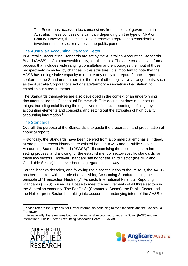- The Sector has access to tax concessions from all tiers of government in Australia. These concessions can vary depending on the type of NFP or Charity. However, the concessions themselves represent a considerable investment in the sector made via the public purse.

#### <span id="page-9-0"></span>The Australian Accounting Standard Setter

In Australia, Accounting Standards are set by the Australian Accounting Standards Board (AASB), a Commonwealth entity, for all sectors. They are created via a formal process that includes wide ranging consultation and encourages the input of those prospectively impacted by changes in this structure. It is important to note that the AASB has no legislative capacity to require any entity to prepare financial reports or conform to the Standards, rather, it is the role of other legislative arrangements, such as the Australia Corporations Act or state/territory Associations Legislation, to establish such requirements.

The Standards themselves are also developed in the context of an underpinning document called the Conceptual Framework. This document does a number of things, including establishing the objectives of financial reporting, defining key accounting elements and concepts, and setting out the attributes of high quality accounting information.<sup>[5](#page-9-2)</sup>

#### <span id="page-9-1"></span>The Standards

Overall, the purpose of the Standards is to guide the preparation and presentation of financial reports.

Historically, the Standards have been derived from a commercial emphasis. Indeed, at one point in recent history there existed both an AASB and a Public Sector Accounting Standards Board (PSASB) $<sup>6</sup>$  $<sup>6</sup>$  $<sup>6</sup>$ , dichotomising the accounting standards</sup> setting process, and allowing for the establishment of sector-specific standards for these two sectors. However, standard setting for the Third Sector (the NFP and Charitable Sector) has never been segregated in this way.

For the last two decades, and following the discontinuation of the PSASB, the AASB has been tasked with the role of establishing Accounting Standards using the principle of "Transaction Neutrality". As such, International Financial Reporting Standards (IFRS) is used as a base to meet the requirements of all three sectors in the Australian economy: The For Profit (Commerce Sector), the Public Sector and the Not-for-profit Sector, but taking into account the underlying intent of the AASB to

<span id="page-9-3"></span>Internationally, there remains both an International Accounting Standards Board (IASB) and an International Public Sector Accounting Standards Board (IPSASB).





<span id="page-9-2"></span><sup>&</sup>lt;sup>5</sup> Please refer to the Appendix for further information pertaining to the Standards and the Conceptual Framework.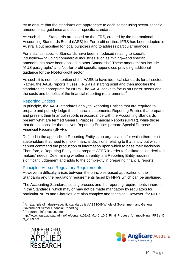try to ensure that the standards are appropriate to each sector using sector-specific amendments, guidance and sector-specific standards.

As such, these Standards are based on the IFRS, created by the International Accounting Standards Board (IASB) for For-profit entities. IFRS has been adopted in Australia but modified for local purposes and to address particular nuances.

For instance, specific Standards have been introduced relating to specific industries—including commercial industries such as mining—and specific amendments have been applied in other Standards.<sup>[7](#page-10-2)</sup> These amendments include "AUS paragraphs" and Not-for-profit specific appendices providing additional guidance for the Not-for-profit sector.

As such, it is not the intention of the AASB to have identical standards for all sectors. Rather, the AASB reports it uses IFRS as a starting point and then modifies the standards as appropriate for NFPs. The AASB seeks to focus on Users' needs and the costs and benefits of the financial reporting requirements.<sup>[8](#page-10-3)</sup>

#### <span id="page-10-0"></span>Reporting Entities

In principle, the AASB standards apply to Reporting Entities that are required to prepare and publicly lodge their financial statements. Reporting Entities that prepare and present their financial reports in accordance with the Accounting Standards present what are termed General Purpose Financial Reports (GPFR), while those that do not consider themselves Reporting Entities prepare Special Purpose Financial Reports (SPFR).

Defined in the appendix, a Reporting Entity is an organisation for which there exist stakeholders that need to make financial decisions relating to that entity but which cannot command the production of information upon which to base their decisions. Therefore, a Reporting Entity must prepare GPFR in order to facilitate those decision makers' needs. Determining whether an entity is a Reporting Entity requires significant judgement and adds to the complexity in preparing financial reports.

#### <span id="page-10-1"></span>Principles Versus Regulatory Requirements

However, a difficulty arises between the principles-based application of the Standards and the regulatory requirements faced by NFPs which can be unaligned.

The Accounting Standards setting process and the reporting requirements inherent in the Standards, which may or may not be made mandatory by regulators for particular NFPs and Charities, are also complex and technical. However, for NFPs

<sup>8</sup> For further information, see:

<span id="page-10-3"></span>http://www.aasb.gov.au/admin/file/content102/c3/M140\_10.5\_Final\_Process\_for\_modifying\_IFRSs\_O ct\_2009.pdf





<span id="page-10-2"></span> $7$  An example of industry-specific standards is AASB1049 Whole of Government and General Government Sector Financial Reporting.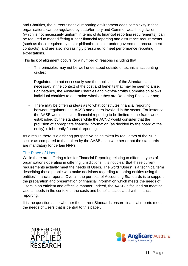and Charities, the current financial reporting environment adds complexity in that organisations can be regulated by state/territory and Commonwealth legislation (which is not necessarily uniform in terms of its financial reporting requirements), can be required to meet differing funder financial reporting and assurance requirements (such as those required by major philanthropists or under government procurement contracts), and are also increasingly pressured to meet performance reporting expectations.

This lack of alignment occurs for a number of reasons including that:

- The principles may not be well understood outside of technical accounting circles;
- Regulators do not necessarily see the application of the Standards as necessary in the context of the cost and benefits that may be seen to arise. For instance, the Australian Charities and Not-for-profits Commission allows individual charities to determine whether they are Reporting Entities or not;
- There may be differing ideas as to what constitutes financial reporting between regulators, the AASB and others involved in the sector. For instance, the AASB would consider financial reporting to be limited to the framework established by the standards while the ACNC would consider that the provision of appropriate financial information (as decided by the board of the entity) is inherently financial reporting.

As a result, there is a differing perspective being taken by regulators of the NFP sector as compared to that taken by the AASB as to whether or not the standards are mandatory for certain NFPs.

### <span id="page-11-0"></span>The Place of Users

While there are differing rules for Financial Reporting relating to differing types of organisations operating in differing jurisdictions, it is not clear that these current requirements actually meet the needs of Users. The word "Users" is a technical term describing those people who make decisions regarding reporting entities using the entities' financial reports. Overall, the purpose of Accounting Standards is to support the preparation and presentation of financial information which meets the needs of Users in an efficient and effective manner. Indeed, the AASB is focused on meeting Users' needs in the context of the costs and benefits associated with financial reporting.

It is the question as to whether the current Standards ensure financial reports meet the needs of Users that is central to this paper.



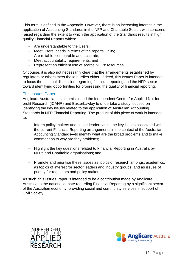This term is defined in the Appendix. However, there is an increasing interest in the application of Accounting Standards in the NFP and Charitable Sector, with concerns raised regarding the extent to which the application of the Standards results in high quality Financial Reports which:

- Are understandable to the Users;
- Meet Users' needs in terms of the reports' utility;
- Are reliable, comparable and accurate;
- Meet accountability requirements; and
- Represent an efficient use of scarce NFPs' resources.

Of course, it is also not necessarily clear that the arrangements established by regulators or others meet these hurdles either. Indeed, this Issues Paper is intended to focus the national discussion regarding financial reporting and the NFP sector toward identifying opportunities for progressing the quality of financial reporting.

#### <span id="page-12-0"></span>This Issues Paper

Anglicare Australia has commissioned the Independent Centre for Applied Not-forprofit Research (ICANR) and BaxterLawley to undertake a study focused on identifying the key issues related to the application of Australian Accounting Standards in NFP Financial Reporting. The product of this piece of work is intended to:

- Inform policy makers and sector leaders as to the key issues associated with the current Financial Reporting arrangements in the context of the Australian Accounting Standards—to identify what are the broad problems and to make comment as to why are they problems;
- Highlight the key questions related to Financial Reporting in Australia by NFPs and Charitable organisations; and
- Promote and prioritise these issues as topics of research amongst academics, as topics of interest for sector leaders and industry groups, and as issues of priority for regulators and policy makers.

As such, this Issues Paper is intended to be a contribution made by Anglicare Australia to the national debate regarding Financial Reporting by a significant sector of the Australian economy, providing social and community services in support of Civil Society.



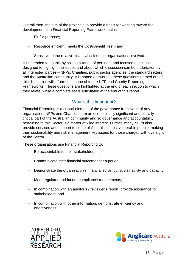Overall then, the aim of the project is to provide a basis for working toward the development of a Financial Reporting Framework that is:

- Fit-for-purpose:
- Resource efficient (meets the Cost/Benefit Test); and
- Sensitive to the relative financial risk of the organisations involved.

It is intended to do this by asking a range of pertinent and focused questions designed to highlight the issues and about which discussion can be undertaken by all interested parties—NFPs, Charities, public sector agencies, the standard setters and the Australian community. It is hoped answers to these questions framed out of this discussion will inform the shape of future NFP and Charity Reporting Frameworks. These questions are highlighted at the end of each section to which they relate, while a complete set is articulated at the end of this report.

## Why is this important?

<span id="page-13-0"></span>Financial Reporting is a critical element of the governance framework of any organisation. NFPs and Charities form an economically significant and socially critical part of the Australian community and so governance and accountability pertaining to this Sector is a matter of wide interest. Further, many NFPs also provide services and support to some of Australia's most vulnerable people, making their sustainability and risk management key issues for those charged with oversight of the Sector.

These organisations use Financial Reporting to:

- Be accountable to their stakeholders;
- Communicate their financial outcomes for a period;
- Demonstrate the organisation's financial solvency, sustainability and capacity;
- Meet regulator and funder compliance requirements;
- In combination with an auditor's / reviewer's report, provide assurance to stakeholders; and
- In combination with other information, demonstrate efficiency and effectiveness.



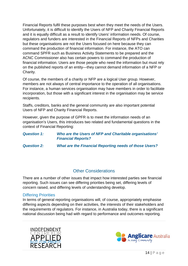Financial Reports fulfil these purposes best when they meet the needs of the Users. Unfortunately, it is difficult to identify the Users of NFP and Charity Financial Reports and it is equally difficult as a result to identify Users' information needs. Of course, regulators and funders are interested in the Financial Reports of NFPs and Charities but these organisations are not the Users focused on here because they can command the production of financial information. For instance, the ATO can command SPFR such as Business Activity Statements to be prepared and the ACNC Commissioner also has certain powers to command the production of financial information. Users are those people who need the information but must rely on the published reports of an entity—they cannot demand information of a NFP or Charity.

Of course, the members of a charity or NFP are a logical User group. However, members are not always of central importance to the operation of all organisations. For instance, a human services organisation may have members in order to facilitate incorporation, but those with a significant interest in the organisation may be service recipients.

Staffs, creditors, banks and the general community are also important potential Users of NFP and Charity Financial Reports.

However, given the purpose of GPFR is to meet the information needs of an organisation's Users, this introduces two related and fundamental questions in the context of Financial Reporting:

*Question 1: Who are the Users of NFP and Charitable organisations' Financial Reports? Question 2: What are the Financial Reporting needs of those Users?*

## Other Considerations

<span id="page-14-0"></span>There are a number of other issues that impact how interested parties see financial reporting. Such issues can see differing priorities being set, differing levels of concern raised, and differing levels of understanding develop.

#### <span id="page-14-1"></span>Differing Priorities

In terms of general reporting organisations will, of course, appropriately emphasise differing aspects depending on their activities, the interests of their stakeholders and the requirements of regulators. For instance, in Australia today, there is a significant national discussion being had with regard to performance and outcomes reporting.



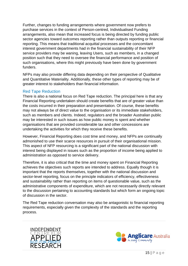Further, changes to funding arrangements where government now prefers to purchase services in the context of Person-centred, Individualised Funding arrangements, also mean that increased focus is being directed by funding public sector agencies toward outcomes reporting rather than outputs reporting or financial reporting. This means that traditional acquittal processes and the concomitant interest government departments had in the financial sustainability of their NFP service providers may be waning, leaving Users, such as members, in a changed position such that they need to oversee the financial performance and position of such organisations, where this might previously have been done by government funders.

NFPs may also provide differing data depending on their perspective of Qualitative and Quantitative Materiality. Additionally, these other types of reporting may be of greater interest to stakeholders than financial information.

### <span id="page-15-0"></span>Red Tape Reduction

There is also a national focus on Red Tape reduction. The principal here is that any Financial Reporting undertaken should create benefits that are of greater value than the costs incurred in their preparation and presentation. Of course, these benefits may not always be of direct value to the organisation or its immediate stakeholders, such as members and clients. Indeed, regulators and the broader Australian public may be interested in such issues as how public money is spent and whether organisations that are provided considerable tax and other concessions are undertaking the activities for which they receive these benefits.

However, Financial Reporting does cost time and money, and NFPs are continually admonished to use their scarce resources in pursuit of their organisational mission. This aspect of NFP resourcing is a significant part of the national discussion with interest being displayed in issues such as the proportion of income being applied to administration as opposed to service delivery.

Therefore, it is also critical that the time and money spent on Financial Reporting achieves the objectives such reports are intended to address. Equally though it is important that the reports themselves, together with the national discussion and sector-level reporting, focus on the principle indicators of efficiency, effectiveness and sustainability rather than reporting on items of questionable value, such as the administrative components of expenditure, which are not necessarily directly relevant to the discussion pertaining to accounting standards but which form an ongoing topic of discussion in the sector.

The Red Tape reduction conversation may also be antagonistic to financial reporting requirements, especially given the complexity of the standards and the reporting process.



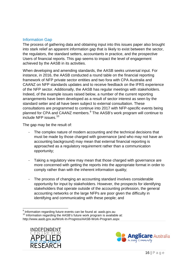## <span id="page-16-0"></span>Information Gap

The process of gathering data and obtaining input into this issues paper also brought into stark relief an apparent information gap that is likely to exist between the sector, the regulators, the standard setters, accountants in practice, and the prospective Users of financial reports. This gap seems to impact the level of engagement achieved by the AASB in its activities.

When developing and amending standards, the AASB seeks universal input. For instance, in 2016, the AASB conducted a round table on the financial reporting framework of NFP private sector entities and two fora with CPA Australia and CAANZ on NFP standards updates and to receive feedback on the IFRS experience of the NFP sector. Additionally, the AASB has regular meetings with stakeholders. Indeed, of the example issues raised below, a number of the current reporting arrangements have been developed as a result of sector interest as seen by the standard setter and all have been subject to external consultation. These consultations are programmed to continue into 2017 with NFP-specific events being planned for CPA and CAANZ members.<sup>[9](#page-16-1)</sup> The AASB's work program will continue to include NFP issues.[10](#page-16-2)

The gap may be the result of:

- The complex nature of modern accounting and the technical decisions that must be made by those charged with governance (and who may not have an accounting background) may mean that external financial reporting is approached as a regulatory requirement rather than a communication opportunity;
- Taking a regulatory view may mean that those charged with governance are more concerned with getting the reports into the appropriate format in order to comply rather than with the inherent information quality;
- The process of changing an accounting standard involves considerable opportunity for input by stakeholders. However, the prospects for identifying stakeholders that operate outside of the accounting profession, the general accounting networks or the large NFPs are poor given the difficulty in identifying and communicating with these people; and

<span id="page-16-2"></span><span id="page-16-1"></span> $9$  Information regarding future events can be found at: aasb.gov.au <sup>10</sup> Information regarding the AASB's future work program is available at: http://www.aasb.gov.au/Work-In-Progress/AASB-Work-Program.aspx



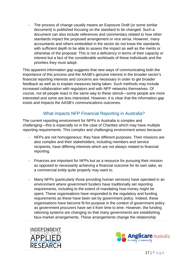The process of change usually means an Exposure Draft (or some similar document) is published focusing on the standard to be changed. Such a document can also include references and commentary related to how other standards impact the proposed arrangement or vice versa. However, many accountants and others embedded in the sector do not know the standards with sufficient depth to be able to assess the impact as well as the merits or otherwise of the proposal. This is not a deficiency in terms of their capacity or interest but a fact of the considerable workloads of these individuals and the priorities they must adopt.

This apparent information gap suggests that new ways of communicating both the importance of this process and the AASB's genuine interest in the broader sector's financial reporting interests and concerns are necessary in order to get broader feedback as well as to explain measures being taken. Such methods may include increased collaboration with regulators and with NFP networks themselves. Of course, not all people react in the same way to these stimuli—some people are more interested and some are less interested. However, it is clear that the information gap exists and impacts the AASB's communications outcomes.

## What impacts NFP Financial Reporting in Australia?

<span id="page-17-0"></span>The current reporting environment for NFPs in Australia is complex and challenging—this is especially so in the case of Charities which may have multiple reporting requirements. This complex and challenging environment arises because:

- NFPs are not homogeneous: they have different purposes. Their missions are also complex and their stakeholders, including members and service recipients, have differing interests which are not always related to financial reporting.
- Finances are important for NFPs but as a resource for pursuing their mission as opposed to necessarily achieving a financial outcome for its own sake, as a commercial entity quite properly may want to.
- Many NFPs (particularly those providing human services) have operated in an environment where government funders have traditionally set reporting requirements, including to the extent of mandating how money might be spent. These organisations have responded to the regulatory and funding requirements as these have been set by government policy. Indeed, these organisations have become fit-for-purpose in the context of government policy as government procurers have set it from time to time. However, the funding rationing systems are changing so that many governments are establishing faux-market arrangements. These arrangements change the relationship



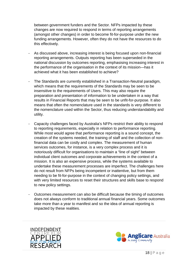between government funders and the Sector. NFPs impacted by these changes are now required to respond in terms of reporting arrangements (amongst other changes) in order to become fit-for-purpose under the new funding arrangements. However, often they do not have the resources to do this effectively.

- As discussed above, increasing interest is being focused upon non-financial reporting arrangements. Outputs reporting has been superseded in the national discussion by outcomes reporting, emphasising increasing interest in the performance of the organisation in the context of its mission—has it achieved what it has been established to achieve?
- The Standards are currently established in a Transaction-Neutral paradigm, which means that the requirements of the Standards may be seen to be insensitive to the requirements of Users. This may also require the preparation and presentation of information to be undertaken in a way that results in Financial Reports that may be seen to be unfit-for-purpose. It also means that often the nomenclature used in the standards is very different to the nomenclature used within the Sector, thus reducing understandability and utility.
- Capacity challenges faced by Australia's NFPs restrict their ability to respond to reporting requirements, especially in relation to performance reporting. While most would agree that performance reporting is a sound concept, the creation of the systems needed, the training of staff and the collection of nonfinancial data can be costly and complex. The measurement of human services outcomes, for instance, is a very complex process and it is notoriously difficult for organisations to maintain a "line of sight" between individual client outcomes and corporate achievements in the context of a mission. It is also an expensive process, while the systems available to undertake these measurement processes are imperfect. The challenges here do not result from NFPs being incompetent or inattentive, but from them needing to be fit-for-purpose in the context of changing policy settings, and with very limited resources to reset their structures and skills base to respond to new policy settings.
- Outcomes measurement can also be difficult because the timing of outcomes does not always conform to traditional annual financial years. Some outcomes take more than a year to manifest and so the idea of annual reporting is impacted by these realities.



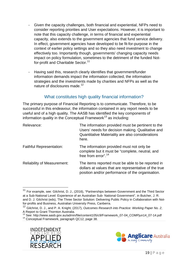- Given the capacity challenges, both financial and experiential, NFPs need to consider reporting priorities and User expectations. However, it is important to note that this capacity challenge, in terms of financial and experiential capacity, also extends to the government agencies that fund service delivery. In effect, government agencies have developed to be fit-for-purpose in the context of earlier policy settings and so they also need investment to change effectively too. Importantly though, governments' changing capacity needs impact on policy formulation, sometimes to the detriment of the funded Not-for-profit and Charitable Sector.<sup>[11](#page-19-1)</sup>
- Having said this, research clearly identifies that government/funder information demands impact the information collected, the information strategies and the investments made by charities and NFPs as well as the nature of disclosures made.[12](#page-19-2)

## What constitutes high quality financial information?

<span id="page-19-0"></span>The primary purpose of Financial Reporting is to communicate. Therefore, to be successful in this endeavour, the information contained in any report needs to be useful and of a high quality. The AASB has identified the key components of information quality in the Conceptual Framework<sup>[13](#page-19-3)</sup> as including:

| Relevance:                         | The information provided must be pertinent to the<br>Users' needs for decision making. Qualitative and<br>Quantitative Materiality are also considerations<br>here. |
|------------------------------------|---------------------------------------------------------------------------------------------------------------------------------------------------------------------|
| <b>Faithful Representation:</b>    | The information provided must not only be.<br>complete but it must be "complete, neutral, and<br>free from error". <sup>14</sup>                                    |
| <b>Reliability of Measurement:</b> | The items reported must be able to be reported in<br>dollars at values that are representative of the true<br>position and/or performance of the organisation.      |

<span id="page-19-4"></span><span id="page-19-3"></span><sup>&</sup>lt;sup>13</sup> See: http://www.aasb.gov.au/admin/file/content105/c9/Framework\_07-04\_COMPjun14\_07-14.pdf<br><sup>14</sup> Conceptual Framework, paragraph QC12, page 38.





<span id="page-19-1"></span><sup>&</sup>lt;sup>11</sup> For example, see: Gilchrist, D. J., (2016), "Partnerships between Government and the Third Sector at a Sub-National Level: Experience of an Australian Sub- National Government", in Butcher, J. R. and D. J. Gilchrist (eds), The Three Sector Solution: Delivering Public Policy in Collaboration with Notfor-profits and Business, Australian University Press, Canberra.

<span id="page-19-2"></span><sup>12</sup> Gilchrist, D. J., and P. A. Knight, (2017), *Outcomes Research into Practice: Working Paper No. 2*, A Report to Grant Thornton Australia.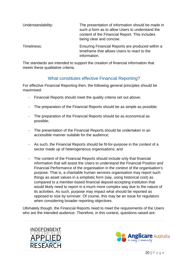| Understandability: | The presentation of information should be made in<br>such a form as to allow Users to understand the<br>content of the Financial Report. This includes<br>being clear and concise. |
|--------------------|------------------------------------------------------------------------------------------------------------------------------------------------------------------------------------|
| Timeliness:        | Ensuring Financial Reports are produced within a<br>timeframe that allows Users to react to the<br>information.                                                                    |

The standards are intended to support the creation of financial information that meets these qualitative criteria.

## What constitutes effective Financial Reporting?

<span id="page-20-0"></span>For effective Financial Reporting then, the following general principles should be maximised:

- Financial Reports should meet the quality criteria set out above;
- The preparation of the Financial Reports should be as simple as possible;
- The preparation of the Financial Reports should be as economical as possible;
- The presentation of the Financial Reports should be undertaken in an accessible manner suitable for the audience;
- As such, the Financial Reports should be fit-for-purpose in the context of a sector made up of heterogeneous organisations; and
- The content of the Financial Reports should include only that financial information that will assist the Users to understand the Financial Position and Financial Performance of the organisation in the context of the organisation's purpose. That is, a charitable human services organisation may report such things as asset values in a simplistic form (say, using historical cost) as compared to a member-based financial deposit-accepting institution that would likely need to report in a much more complex way due to the nature of its activities. As such, purpose may impact what should be reported as opposed to size by turnover. Of course, this may be an issue for regulators when considering broader reporting objectives.

Ultimately though, the Financial Reports need to meet the requirements of the Users who are the intended audience. Therefore, in this context, questions raised are:



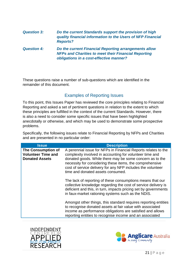## *Question 3: Do the current Standards support the provision of high quality financial information to the Users of NFP Financial Reports? Question 4: Do the current Financial Reporting arrangements allow NFPs and Charities to meet their Financial Reporting*

*obligations in a cost-effective manner?*

These questions raise a number of sub-questions which are identified in the remainder of this document.

## Examples of Reporting Issues

<span id="page-21-0"></span>To this point, this Issues Paper has reviewed the core principles relating to Financial Reporting and asked a set of pertinent questions in relation to the extent to which these principles are fulfilled in the context of the current Standards. However, there is also a need to consider some specific issues that have been highlighted anecdotally or otherwise, and which may be used to demonstrate some prospective problems.

Specifically, the following issues relate to Financial Reporting by NFPs and Charities and are presented in no particular order:

| <b>Issue</b>                                                                    | <b>Description</b>                                                                                                                                                                                                                                                                                                                                     |
|---------------------------------------------------------------------------------|--------------------------------------------------------------------------------------------------------------------------------------------------------------------------------------------------------------------------------------------------------------------------------------------------------------------------------------------------------|
| <b>The Consumption of</b><br><b>Volunteer Time and</b><br><b>Donated Assets</b> | A perennial issue for NFPs in Financial Reports relates to the<br>complexity involved in accounting for volunteer time and<br>donated goods. While there may be some concern as to the<br>necessity for considering these items, the comprehensive<br>cost of service delivery for any NFP includes the volunteer<br>time and donated assets consumed. |
|                                                                                 | The lack of reporting of these consumptions means that our<br>collective knowledge regarding the cost of service delivery is<br>deficient and this, in turn, impacts pricing set by governments<br>in faux-market rationing systems such as the NDIS.                                                                                                  |
|                                                                                 | Amongst other things, this standard requires reporting entities<br>to recognise donated assets at fair value with associated<br>income as performance obligations are satisfied and allows<br>reporting entities to recognise income and an associated                                                                                                 |



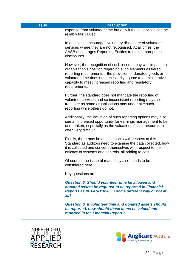| <b>Issue</b>       | <b>Description</b>                                                                                                                                                                                                                                                                                                          |
|--------------------|-----------------------------------------------------------------------------------------------------------------------------------------------------------------------------------------------------------------------------------------------------------------------------------------------------------------------------|
|                    | expense from volunteer time but only if these services can be<br>reliably fair valued.                                                                                                                                                                                                                                      |
|                    | In addition it encourages voluntary disclosure of volunteer<br>services where they are not recognised. At all times, the<br>AASB encourages Reporting Entities to make appropriate<br>disclosures.                                                                                                                          |
|                    | However, the recognition of such income may well impact an<br>organisation's position regarding such elements as tiered<br>reporting requirements-the provision of donated goods or<br>volunteer time does not necessarily equate to administrative<br>capacity to meet increased reporting and regulatory<br>requirements. |
|                    | Further, the standard does not mandate the reporting of<br>volunteer services and so inconsistent reporting may also<br>transpire as some organisations may undertake such<br>reporting while others do not.                                                                                                                |
|                    | Additionally, the inclusion of such reporting options may also<br>see an increased opportunity for earnings management to be<br>undertaken, especially as the valuation of such resources is<br>often very difficult.                                                                                                       |
|                    | Finally, there may be audit impacts with respect to this<br>Standard as auditors need to examine the data collected, how<br>it is collected and concern themselves with respect to the<br>efficacy of systems and controls, all adding to cost.                                                                             |
|                    | Of course, the issue of materiality also needs to be<br>considered here.                                                                                                                                                                                                                                                    |
|                    | Key questions are:                                                                                                                                                                                                                                                                                                          |
|                    | Question 5: Should volunteer time be allowed and<br>donated assets be required to be reported in Financial<br>Reports as in AASB1058, in some different way or not at<br>all?                                                                                                                                               |
|                    | Question 6: If volunteer time and donated assets should<br>be reported, how should these items be valued and<br>reported in the Financial Report?                                                                                                                                                                           |
| <b>INDEPENDENT</b> |                                                                                                                                                                                                                                                                                                                             |



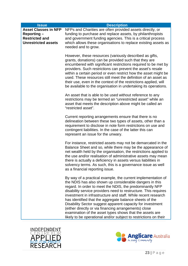| <b>Issue</b>                | <b>Description</b>                                                                                                                                                                                                                                                                                                                                                                                                                                                                                                                                                                                                                        |
|-----------------------------|-------------------------------------------------------------------------------------------------------------------------------------------------------------------------------------------------------------------------------------------------------------------------------------------------------------------------------------------------------------------------------------------------------------------------------------------------------------------------------------------------------------------------------------------------------------------------------------------------------------------------------------------|
| <b>Asset Classes in NFP</b> | NFPs and Charities are often provided assets directly, or                                                                                                                                                                                                                                                                                                                                                                                                                                                                                                                                                                                 |
| $Reporting -$               | funding to purchase and replace assets, by philanthropists                                                                                                                                                                                                                                                                                                                                                                                                                                                                                                                                                                                |
| <b>Restricted and</b>       | and government funding agencies. This is a critical process                                                                                                                                                                                                                                                                                                                                                                                                                                                                                                                                                                               |
| <b>Unrestricted assets</b>  | which allows these organisations to replace existing assets as                                                                                                                                                                                                                                                                                                                                                                                                                                                                                                                                                                            |
|                             | needed and to grow.                                                                                                                                                                                                                                                                                                                                                                                                                                                                                                                                                                                                                       |
|                             | However, these resources (variously described as gifts,<br>grants, donations) can be provided such that they are<br>encumbered with significant restrictions required to be met by<br>providers. Such restrictions can prevent the asset's resale<br>within a certain period or even restrict how the asset might be<br>used. These resources still meet the definition of an asset as<br>their use, even in the context of the restrictions applied, will<br>be available to the organisation in undertaking its operations.                                                                                                             |
|                             | An asset that is able to be used without reference to any<br>restrictions may be termed an "unrestricted asset" while an<br>asset that meets the description above might be called an<br>"restricted asset".                                                                                                                                                                                                                                                                                                                                                                                                                              |
|                             | Current reporting arrangements ensure that there is no<br>delineation between these two types of assets, other than a<br>requirement to disclose in note form restrictions on use and<br>contingent liabilities. In the case of the latter this can<br>represent an issue for the unwary.                                                                                                                                                                                                                                                                                                                                                 |
|                             | For instance, restricted assets may not be demarcated in the<br>Balance Sheet and so, while there may be the appearance of<br>net wealth held by the organisation, the restrictions applied to<br>the use and/or realisation of administrative assets may mean<br>there is actually a deficiency in assets versus liabilities in<br>solvency terms. As such, this is a governance issue as well<br>as a financial reporting issue.                                                                                                                                                                                                        |
|                             | By way of a practical example, the current implementation of<br>the NDIS has also shown up considerable dangers in this<br>regard. In order to meet the NDIS, the predominantly NFP<br>disability service providers need to restructure. This requires<br>investment in infrastructure and staff. While recent research<br>has identified that the aggregate balance sheets of the<br>Disability Sector suggest apparent capacity for investment<br>(either directly or via financing arrangements) close<br>examination of the asset types shows that the assets are<br>likely to be operational and/or subject to restrictions on their |



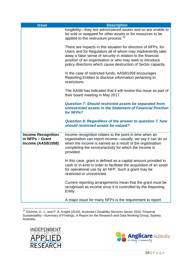| <b>Issue</b>                                                      | <b>Description</b>                                                                                                                                                                                                                                                                                                        |
|-------------------------------------------------------------------|---------------------------------------------------------------------------------------------------------------------------------------------------------------------------------------------------------------------------------------------------------------------------------------------------------------------------|
|                                                                   | fungibility-they are administered assets and so are unable to<br>be sold or swapped for other assets or for resources to be<br>applied to the restructure process. <sup>15</sup>                                                                                                                                          |
|                                                                   | There are impacts in this situation for directors of NFPs, for<br>Users and for Regulators all of whom may inadvertently take<br>away a false sense of security in relation to the financial<br>position of an organisation or who may seek to introduce<br>policy directions which cause destruction of Sector capacity. |
|                                                                   | In the case of restricted funds, AASB1058 encourages<br>Reporting Entities to disclose information pertaining to<br>restrictions.                                                                                                                                                                                         |
|                                                                   | The AASB has indicated that it will review this issue as part of<br>their board meeting in May 2017.                                                                                                                                                                                                                      |
|                                                                   | <b>Question 7: Should restricted assets be separated from</b><br>unrestricted assets in the Statement of Financial Position<br>for NFPs?                                                                                                                                                                                  |
|                                                                   | Question 8: Regardless of the answer to question 7, how<br>should restricted assets be valued?                                                                                                                                                                                                                            |
| <b>Income Recognition</b><br>in NFPs - Grant<br>Income (AASB1058) | Income recognition relates to the point in time when an<br>organisation can report income—usually, we say it can do so<br>when the income is earned as a result of the organisation<br>completing the service/activity for which the income is<br>provided.                                                               |
|                                                                   | In this case, grant is defined as a capital amount provided in<br>cash or in-kind in order to facilitate the acquisition of an asset<br>for operational use by an NFP. Such a grant may be<br>restricted or unrestricted.                                                                                                 |
|                                                                   | Current reporting arrangements mean that the grant must be<br>recognised as income once it is controlled by the Reporting<br>Entity.                                                                                                                                                                                      |
|                                                                   | A major issue for many NFPs is the requirement to report                                                                                                                                                                                                                                                                  |

<span id="page-24-0"></span><sup>————————————————————&</sup>lt;br><sup>15</sup> Gilchrist, D. J., and P. A. Knight (2016), Australia's Disability Services Sector 2016: Financial Sustainability—Summary of Findings, A Report for the Research and Data Working Group, Sydney, Australia.



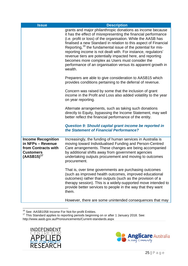| <b>Issue</b>                                                                                                 | <b>Description</b>                                                                                                                                                                                                                                                                                                                                                                                                                                                                                                                                                                                         |
|--------------------------------------------------------------------------------------------------------------|------------------------------------------------------------------------------------------------------------------------------------------------------------------------------------------------------------------------------------------------------------------------------------------------------------------------------------------------------------------------------------------------------------------------------------------------------------------------------------------------------------------------------------------------------------------------------------------------------------|
|                                                                                                              | grants and major philanthropic donations as income because<br>it has the effect of misrepresenting the financial performance<br>(i.e. profit or loss) of the organisation. While the AASB has<br>finalised a new Standard in relation to this aspect of Financial<br>Reporting, <sup>16</sup> the fundamental issue of the potential for mis-<br>reporting income is not dealt with. For instance, regulators'<br>revenue tiers are potentially impacted here, and reporting<br>becomes more complex as Users must consider the<br>performance of an organisation versus its apparent growth in<br>wealth. |
|                                                                                                              | Preparers are able to give consideration to AASB15 which<br>provides conditions pertaining to the deferral of revenue.                                                                                                                                                                                                                                                                                                                                                                                                                                                                                     |
|                                                                                                              | Concern was raised by some that the inclusion of grant<br>income in the Profit and Loss also added volatility to the year<br>on year reporting.                                                                                                                                                                                                                                                                                                                                                                                                                                                            |
|                                                                                                              | Alternate arrangements, such as taking such donations<br>directly to Equity, bypassing the Income Statement, may well<br>better reflect the financial performance of the entity.                                                                                                                                                                                                                                                                                                                                                                                                                           |
|                                                                                                              | <b>Question 9: Should capital grant income be reported in</b><br>the Statement of Financial Performance?                                                                                                                                                                                                                                                                                                                                                                                                                                                                                                   |
| <b>Income Recognition</b><br>in NFPs - Revenue<br>from Contracts with<br><b>Customers</b><br>$(AASB15)^{17}$ | Increasingly, the funding of human services in Australia is<br>moving toward Individualised Funding and Person-Centred<br>Care arrangements. These changes are being accompanied<br>by additional shifts away from government agencies<br>undertaking outputs procurement and moving to outcomes<br>procurement.                                                                                                                                                                                                                                                                                           |
|                                                                                                              | That is, over time governments are purchasing outcomes<br>(such as improved health outcomes, improved educational<br>outcomes) rather than outputs (such as the provision of a<br>therapy session). This is a widely-supported move intended to<br>provide better services to people in the way that they want<br>them.                                                                                                                                                                                                                                                                                    |
|                                                                                                              | However, there are some unintended consequences that may                                                                                                                                                                                                                                                                                                                                                                                                                                                                                                                                                   |

<span id="page-25-1"></span><span id="page-25-0"></span>

<sup>16</sup> See: AASB1058 Income For Not-for-profit Entities. <sup>17</sup> This Standard applies to reporting periods beginning on or after 1 January 2018. See: http://www.aasb.gov.au/Pronouncements/Current-standards.aspx



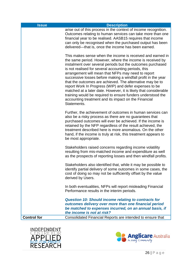| <b>Issue</b>       | <b>Description</b>                                                                                                                                                                                                                                                                                                                                                                                                                                                                                                                                                                                                                                                                                    |
|--------------------|-------------------------------------------------------------------------------------------------------------------------------------------------------------------------------------------------------------------------------------------------------------------------------------------------------------------------------------------------------------------------------------------------------------------------------------------------------------------------------------------------------------------------------------------------------------------------------------------------------------------------------------------------------------------------------------------------------|
|                    | arise out of this process in the context of income recognition.<br>Outcomes relating to human services can take more than one<br>financial year to be realised. AASB15 requires that income<br>can only be recognised when the purchased output has been<br>delivered-that is, once the income has been earned.                                                                                                                                                                                                                                                                                                                                                                                       |
|                    | This makes sense when the income is received and earned in<br>the same period. However, where the income is received by<br>instalment over several periods but the outcomes purchased<br>is not realised for several accounting periods, this<br>arrangement will mean that NFPs may need to report<br>successive losses before making a windfall profit in the year<br>that the outcomes are achieved. The alternative may be to<br>report Work In Progress (WIP) and defer expenses to be<br>matched at a later date. However, it is likely that considerable<br>training would be required to ensure funders understood the<br>accounting treatment and its impact on the Financial<br>Statements. |
|                    | Further, the achievement of outcomes in human services can<br>also be a risky process as there are no guarantees that<br>purchased outcomes will ever be achieved. If the income is<br>retained by the NFP regardless of the result achieved, the<br>treatment described here is more anomalous. On the other<br>hand, if the income is truly at risk, this treatment appears to<br>be most appropriate.                                                                                                                                                                                                                                                                                              |
|                    | Stakeholders raised concerns regarding income volatility<br>resulting from mis-matched income and expenditure as well<br>as the prospects of reporting losses and then windfall profits.                                                                                                                                                                                                                                                                                                                                                                                                                                                                                                              |
|                    | Stakeholders also identified that, while it may be possible to<br>identify partial delivery of some outcomes in some cases, the<br>cost of doing so may not be sufficiently offset by the value<br>derived by Users.                                                                                                                                                                                                                                                                                                                                                                                                                                                                                  |
|                    | In both eventualities, NFPs will report misleading Financial<br>Performance results in the interim periods.                                                                                                                                                                                                                                                                                                                                                                                                                                                                                                                                                                                           |
|                    | <b>Question 10: Should income relating to contracts for</b><br>outcomes delivery over more than one financial period<br>be matched to expenses incurred, on an annual basis, if<br>the income is not at risk?                                                                                                                                                                                                                                                                                                                                                                                                                                                                                         |
| <b>Control for</b> | Consolidated Financial Reports are intended to ensure that                                                                                                                                                                                                                                                                                                                                                                                                                                                                                                                                                                                                                                            |



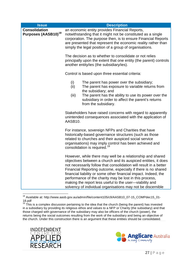| <b>Issue</b>                                            | <b>Description</b>                                                                                                                                                                                                                                                                                                                                                                                                                                                                                                         |
|---------------------------------------------------------|----------------------------------------------------------------------------------------------------------------------------------------------------------------------------------------------------------------------------------------------------------------------------------------------------------------------------------------------------------------------------------------------------------------------------------------------------------------------------------------------------------------------------|
| <b>Consolidation</b><br>Purposes (AASB10) <sup>18</sup> | an economic entity provides Financial Reports,<br>notwithstanding that it might not be constituted as a single<br>corporation. The purpose then, is to ensure Financial Reports<br>are presented that represent the economic reality rather than<br>simply the legal position of a group of organisations.                                                                                                                                                                                                                 |
|                                                         | The decision as to whether to consolidate or not relies<br>principally upon the extent that one entity (the parent) controls<br>another entity/ies (the subsidiary/ies).                                                                                                                                                                                                                                                                                                                                                   |
|                                                         | Control is based upon three essential criteria:                                                                                                                                                                                                                                                                                                                                                                                                                                                                            |
|                                                         | The parent has power over the subsidiary;<br>(i)<br>The parent has exposure to variable returns from<br>(ii)<br>the subsidiary; and<br>The parent has the ability to use its power over the<br>(iii)<br>subsidiary in order to affect the parent's returns<br>from the subsidiary.                                                                                                                                                                                                                                         |
|                                                         | Stakeholders have raised concerns with regard to apparently<br>unintended consequences associated with the application of<br>AASB10.                                                                                                                                                                                                                                                                                                                                                                                       |
|                                                         | For instance, sovereign NFPs and Charities that have<br>historically-based governance structures (such as those<br>related to churches and their auspiced social service<br>organisations) may imply control has been achieved and<br>consolidation is required. <sup>19</sup>                                                                                                                                                                                                                                             |
|                                                         | However, while there may well be a relationship and shared<br>objectives between a church and its auspiced entities, it does<br>not necessarily follow that consolidation will result in a better<br>Financial Reporting outcome, especially if there is no shared<br>financial liability or some other financial impact. Indeed, the<br>performance of the charity may be lost in this process,<br>making the report less useful to the user-viability and<br>solvency of individual organisations may not be discernible |

<span id="page-27-0"></span> <sup>18</sup> Available at: http://www.aasb.gov.au/admin/file/content105/c9/AASB10\_07-15\_COMPdec15\_01- 18.pdf

<span id="page-27-1"></span> $19$  This is a complex discussion pertaining to the idea that the church (being the parent) has invested in a subsidiary by providing its religious ethos and values to a NFP or Charity (the subsidiary) and that those charged with governance of the subsidiary may also be officers of the church (power), the returns being the social outcomes resulting from the work of the subsidiary and being an objective of the church. Under this construction there is an argument that these entities should be consolidated.



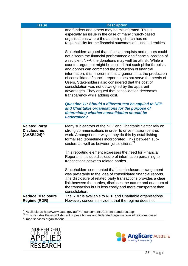| <b>Issue</b>                                                   | <b>Description</b>                                                                                                                                                                                                                                                                                                                                                                                                                                                                                                                                                                                                                                                                                                                                                                                                           |
|----------------------------------------------------------------|------------------------------------------------------------------------------------------------------------------------------------------------------------------------------------------------------------------------------------------------------------------------------------------------------------------------------------------------------------------------------------------------------------------------------------------------------------------------------------------------------------------------------------------------------------------------------------------------------------------------------------------------------------------------------------------------------------------------------------------------------------------------------------------------------------------------------|
|                                                                | and funders and others may be misinformed. This is<br>especially an issue in the case of many church-based<br>organisations where the auspicing church has no<br>responsibility for the financial outcomes of auspiced entities.                                                                                                                                                                                                                                                                                                                                                                                                                                                                                                                                                                                             |
|                                                                | Stakeholders argued that, if philanthropists and donors could<br>not discern the financial performance and financial position of<br>a recipient NFP, the donations may well be at risk. While a<br>counter argument might be applied that such philanthropists<br>and donors can command the production of financial<br>information, it is inherent in this argument that the production<br>of consolidated financial reports does not serve the needs of<br>Users. Stakeholders also considered that the cost of<br>consolidation was not outweighed by the apparent<br>advantages. They argued that consolidation decreases<br>transparency while adding cost.<br>Question 11: Should a different test be applied to NFP<br>and Charitable organisations for the purpose of<br>determining whether consolidation should be |
|                                                                | undertaken?                                                                                                                                                                                                                                                                                                                                                                                                                                                                                                                                                                                                                                                                                                                                                                                                                  |
| <b>Related Party</b><br><b>Disclosures</b><br>$(AASB124)^{20}$ | Many sub-sectors of the NFP and Charitable Sector rely on<br>strong communications in order to drive mission-centred<br>work. Amongst other ways, they do this by establishing<br>formalised (sometimes incorporated) links between sub-<br>sectors as well as between jurisdictions. <sup>21</sup>                                                                                                                                                                                                                                                                                                                                                                                                                                                                                                                          |
|                                                                | This reporting element expresses the need for Financial<br>Reports to include disclosure of information pertaining to<br>transactions between related parties.                                                                                                                                                                                                                                                                                                                                                                                                                                                                                                                                                                                                                                                               |
|                                                                | Stakeholders commented that this disclosure arrangement<br>was preferable to the idea of consolidated financial reports.<br>The disclosure of related party transactions provides a clear<br>link between the parties, discloses the nature and quantum of<br>the transaction but is less costly and more transparent than<br>consolidation.                                                                                                                                                                                                                                                                                                                                                                                                                                                                                 |
| <b>Reduce Disclosure</b><br><b>Regime (RDR)</b>                | The RDR is available to NFP and Charitable organisations.<br>However, concern is evident that the regime does not                                                                                                                                                                                                                                                                                                                                                                                                                                                                                                                                                                                                                                                                                                            |
|                                                                |                                                                                                                                                                                                                                                                                                                                                                                                                                                                                                                                                                                                                                                                                                                                                                                                                              |

<span id="page-28-1"></span><span id="page-28-0"></span>

<sup>20</sup> Available at: http://www.aasb.gov.au/Pronouncements/Current-standards.aspx <sup>21</sup> This includes the establishment of peak bodies and federated organisations of religious-based human services organisations.



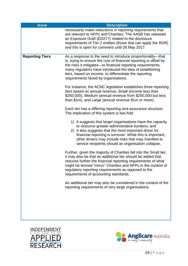| <b>Issue</b>           | <b>Description</b>                                                                                                                                                                                                                                                                                                                                                |
|------------------------|-------------------------------------------------------------------------------------------------------------------------------------------------------------------------------------------------------------------------------------------------------------------------------------------------------------------------------------------------------------------|
|                        | necessarily make reductions in reporting requirements that<br>are relevant to NFPs and Charities. The AASB has released<br>an Exposure Draft (ED277) related to the disclosure<br>requirements of Tier 2 entities (those that can apply the RDR)<br>and this is open for comment until 26 May 2017.                                                               |
| <b>Reporting Tiers</b> | As a response to the need to introduce proportionality-that<br>is, trying to ensure the cost of financial reporting is offset by<br>the risks it mitigates-to financial reporting requirements,<br>many regulators have introduced the idea of establishing<br>tiers, based on income, to differentiate the reporting<br>requirements faced by organisations.     |
|                        | For instance, the ACNC legislation establishes three reporting<br>tiers based on annual revenue, Small (income less than<br>\$250,000), Medium (annual revenue from \$250,000 but less<br>than \$1m), and Large (annual revenue \$1m or more).                                                                                                                    |
|                        | Each tier has a differing reporting and assurance structure.<br>The implication of this system is two-fold:                                                                                                                                                                                                                                                       |
|                        | 1) It suggests that larger organisations have the capacity<br>to resource greater administrative burdens; and<br>2) It also suggests that the most important driver for<br>financial reporting is turnover. While this is important,<br>other drivers may include risks that may manifest to<br>service recipients should an organisation collapse.               |
|                        | Further, given the majority of Charities fall into the Small tier,<br>it may also be that an additional tier should be added that<br>reduces further the financial reporting requirements of what<br>might be termed "micro" Charities and NFPs in the context of<br>regulatory reporting requirements as opposed to the<br>requirements of accounting standards. |
|                        | An additional tier may also be considered in the context of the<br>reporting requirements of very large organisations.                                                                                                                                                                                                                                            |
|                        |                                                                                                                                                                                                                                                                                                                                                                   |
|                        |                                                                                                                                                                                                                                                                                                                                                                   |
|                        |                                                                                                                                                                                                                                                                                                                                                                   |



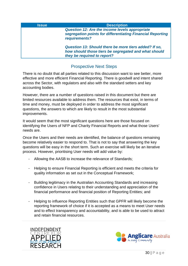**Issue Description** 

*Question 12: Are the income levels appropriate segregation points for differentiating Financial Reporting requirements?*

*Question 13: Should there be more tiers added? If so, how should those tiers be segregated and what should they be required to report?*

## Prospective Next Steps

<span id="page-30-0"></span>There is no doubt that all parties related to this discussion want to see better, more effective and more efficient Financial Reporting. There is goodwill and intent shared across the Sector, with regulators and also with the standard setters and key accounting bodies.

However, there are a number of questions raised in this document but there are limited resources available to address them. The resources that exist, in terms of time and money, must be deployed in order to address the most significant questions, the answers to which are likely to result in the most substantial improvements.

It would seem that the most significant questions here are those focused on identifying the Users of NFP and Charity Financial Reports and what those Users' needs are.

Once the Users and their needs are identified, the balance of questions remaining become relatively easier to respond to. That is not to say that answering the key questions will be easy in the short term. Such an exercise will likely be an iterative process. However, prioritising User needs will add value by:

- Allowing the AASB to increase the relevance of Standards;
- Helping to ensure Financial Reporting is efficient and meets the criteria for quality information as set out in the Conceptual Framework;
- Building legitimacy in the Australian Accounting Standards and increasing confidence in Users relating to their understanding and appreciation of the financial performance and financial position of Reporting Entities; and
- Helping to influence Reporting Entities such that GPFR will likely become the reporting framework of choice if it is accepted as a means to meet User needs and to effect transparency and accountability, and is able to be used to attract and retain financial resources.



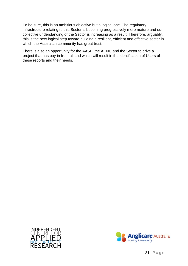To be sure, this is an ambitious objective but a logical one. The regulatory infrastructure relating to this Sector is becoming progressively more mature and our collective understanding of the Sector is increasing as a result. Therefore, arguably, this is the next logical step toward building a resilient, efficient and effective sector in which the Australian community has great trust.

There is also an opportunity for the AASB, the ACNC and the Sector to drive a project that has buy-in from all and which will result in the identification of Users of these reports and their needs.



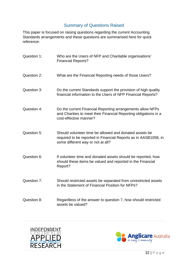## Summary of Questions Raised

<span id="page-32-0"></span>This paper is focused on raising questions regarding the current Accounting Standards arrangements and these questions are summarised here for quick reference:

| Question 1: | Who are the Users of NFP and Charitable organisations'<br><b>Financial Reports?</b>                                                                            |
|-------------|----------------------------------------------------------------------------------------------------------------------------------------------------------------|
| Question 2: | What are the Financial Reporting needs of those Users?                                                                                                         |
| Question 3: | Do the current Standards support the provision of high quality<br>financial information to the Users of NFP Financial Reports?                                 |
| Question 4: | Do the current Financial Reporting arrangements allow NFPs<br>and Charities to meet their Financial Reporting obligations in a<br>cost-effective manner?       |
| Question 5: | Should volunteer time be allowed and donated assets be<br>required to be reported in Financial Reports as in AASB1058, in<br>some different way or not at all? |
| Question 6: | If volunteer time and donated assets should be reported, how<br>should these items be valued and reported in the Financial<br>Report?                          |
| Question 7: | Should restricted assets be separated from unrestricted assets<br>in the Statement of Financial Position for NFPs?                                             |
| Question 8: | Regardless of the answer to question 7, how should restricted<br>assets be valued?                                                                             |



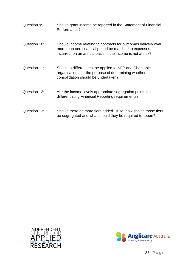| Question 9:  | Should grant income be reported in the Statement of Financial<br>Performance?                                                                                                          |
|--------------|----------------------------------------------------------------------------------------------------------------------------------------------------------------------------------------|
| Question 10: | Should income relating to contracts for outcomes delivery over<br>more than one financial period be matched to expenses<br>incurred, on an annual basis, if the income is not at risk? |
| Question 11: | Should a different test be applied to NFP and Charitable<br>organisations for the purpose of determining whether<br>consolidation should be undertaken?                                |
| Question 12: | Are the income levels appropriate segregation points for<br>differentiating Financial Reporting requirements?                                                                          |
| Question 13: | Should there be more tiers added? If so, how should those tiers<br>be segregated and what should they be required to report?                                                           |



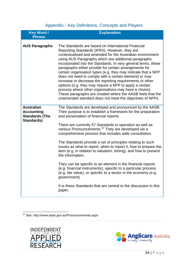## Appendix - Key Definitions, Concepts and Players

<span id="page-34-0"></span>

| <b>Key Word /</b><br><b>Phrase</b>                                                   | <b>Explanation</b>                                                                                                                                                                                                                                                                                                                                                                                                                                                                                                                                                                                                                                                                                                                                                                                                                                                                    |
|--------------------------------------------------------------------------------------|---------------------------------------------------------------------------------------------------------------------------------------------------------------------------------------------------------------------------------------------------------------------------------------------------------------------------------------------------------------------------------------------------------------------------------------------------------------------------------------------------------------------------------------------------------------------------------------------------------------------------------------------------------------------------------------------------------------------------------------------------------------------------------------------------------------------------------------------------------------------------------------|
| <b>AUS Paragraphs</b>                                                                | The Standards are based on International Financial<br>Reporting Standards (IFRS). However, they are<br>contextualised and amended for the Australian environment<br>using AUS Paragraphs which are additional paragraphs<br>incorporated into the Standards. In very general terms, these<br>paragraphs either provide for certain arrangements for<br>certain organisation types (e.g. they may indicate that a NFP<br>does not need to comply with a certain element) or may<br>increase or decrease the reporting requirements or other<br>options (e.g. they may require a NFP to apply a certain<br>process where other organisations may have a choice).<br>These paragraphs are created where the AASB feels that the<br>unamended standard does not meet the objectives of NFPs.                                                                                              |
| <b>Australian</b><br><b>Accounting</b><br><b>Standards (The</b><br><b>Standards)</b> | The Standards are developed and pronounced by the AASB.<br>Their purpose is to establish a framework for the preparation<br>and presentation of financial reports.<br>There are currently 57 Standards in operation as well as<br>various Pronouncements. <sup>22</sup> They are developed via a<br>comprehensive process that includes wide consultation.<br>The Standards provide a set of principles relating to such<br>issues as what to report, when to report it, how to prepare the<br>item (e.g. in relation to valuation, timing), and how to present<br>the information.<br>They can be specific to an element in the financial reports<br>(e.g. financial instruments), specific to a particular process<br>(e.g. fair value), or specific to a sector in the economy (e.g.<br>government).<br>It is these Standards that are central to the discussion in this<br>paper. |

<span id="page-34-1"></span> <sup>22</sup> See: http://www.aasb.gov.au/Pronouncements.aspx



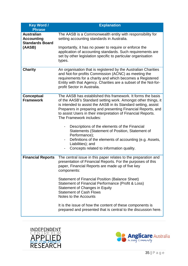| <b>Key Word /</b><br><b>Phrase</b>                                         | <b>Explanation</b>                                                                                                                                                                                                                                                                                                                                         |
|----------------------------------------------------------------------------|------------------------------------------------------------------------------------------------------------------------------------------------------------------------------------------------------------------------------------------------------------------------------------------------------------------------------------------------------------|
| <b>Australian</b><br><b>Accounting</b><br><b>Standards Board</b><br>(AASB) | The AASB is a Commonwealth entity with responsibility for<br>setting accounting standards in Australia.<br>Importantly, it has no power to require or enforce the                                                                                                                                                                                          |
|                                                                            | application of accounting standards. Such requirements are<br>set by other legislation specific to particular organisation<br>types.                                                                                                                                                                                                                       |
| <b>Charity</b>                                                             | An organisation that is registered by the Australian Charities<br>and Not-for-profits Commission (ACNC) as meeting the<br>requirements for a charity and which becomes a Registered<br>Entity with that Agency. Charities are a subset of the Not-for-<br>profit Sector in Australia.                                                                      |
| Conceptual<br><b>Framework</b>                                             | The AASB has established this framework. It forms the basis<br>of the AASB's Standard setting work. Amongst other things, it<br>is intended to assist the AASB in its Standard setting, assist<br>Preparers in preparing and presenting Financial Reports, and<br>to assist Users in their interpretation of Financial Reports.<br>The Framework includes: |
|                                                                            | Descriptions of the elements of the Financial<br>Statements (Statement of Position, Statement of<br>Performance);<br>Definitions of the elements of accounting (e.g. Assets,<br>Liabilities); and<br>Concepts related to information quality.                                                                                                              |
| <b>Financial Reports</b>                                                   | The central issue in this paper relates to the preparation and<br>presentation of Financial Reports. For the purposes of this<br>paper, Financial Reports are made up of five key<br>components:                                                                                                                                                           |
|                                                                            | Statement of Financial Position (Balance Sheet)<br>Statement of Financial Performance (Profit & Loss)<br><b>Statement of Changes in Equity</b><br><b>Statement of Cash Flows</b><br>Notes to the Accounts                                                                                                                                                  |
|                                                                            | It is the issue of how the content of these components is<br>prepared and presented that is central to the discussion here.                                                                                                                                                                                                                                |



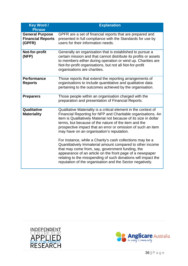| Key Word /<br><b>Phrase</b>                                  | <b>Explanation</b>                                                                                                                                                                                                                                                                                                                                                       |
|--------------------------------------------------------------|--------------------------------------------------------------------------------------------------------------------------------------------------------------------------------------------------------------------------------------------------------------------------------------------------------------------------------------------------------------------------|
| <b>General Purpose</b><br><b>Financial Reports</b><br>(GPFR) | GPFR are a set of financial reports that are prepared and<br>presented in full compliance with the Standards for use by<br>users for their information needs.                                                                                                                                                                                                            |
| Not-for-profit<br>(NFP)                                      | Generally an organisation that is established to pursue a<br>certain mission and that cannot distribute its profits or assets<br>to members either during operation or wind up. Charities are<br>Not-for-profit organisations, but not all Not-for-profit<br>organisations are charities.                                                                                |
| <b>Performance</b><br><b>Reports</b>                         | Those reports that extend the reporting arrangements of<br>organisations to include quantitative and qualitative data<br>pertaining to the outcomes achieved by the organisation.                                                                                                                                                                                        |
| <b>Preparers</b>                                             | Those people within an organisation charged with the<br>preparation and presentation of Financial Reports.                                                                                                                                                                                                                                                               |
| Qualitative<br><b>Materiality</b>                            | Qualitative Materiality is a critical element in the context of<br>Financial Reporting for NFP and Charitable organisations. An<br>item is Qualitatively Material not because of its size in dollar<br>terms, but because of the nature of the item and the<br>prospective impact that an error or omission of such an item<br>may have on an organisation's reputation. |
|                                                              | For instance, while a Charity's cash collections may be a<br>Quantitatively Immaterial amount compared to other income<br>that may come from, say, government funding, the<br>appearance of an article on the front page of a newspaper<br>relating to the misspending of such donations will impact the<br>reputation of the organisation and the Sector negatively.    |



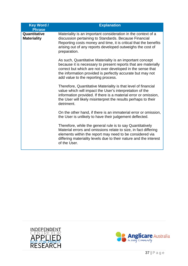| <b>Key Word /</b><br><b>Phrase</b> | <b>Explanation</b>                                                                                                                                                                                                                                                                             |
|------------------------------------|------------------------------------------------------------------------------------------------------------------------------------------------------------------------------------------------------------------------------------------------------------------------------------------------|
| Quantitative<br><b>Materiality</b> | Materiality is an important consideration in the context of a<br>discussion pertaining to Standards. Because Financial<br>Reporting costs money and time, it is critical that the benefits<br>arising out of any reports developed outweighs the cost of<br>preparation.                       |
|                                    | As such, Quantitative Materiality is an important concept<br>because it is necessary to present reports that are materially<br>correct but which are not over developed in the sense that<br>the information provided is perfectly accurate but may not<br>add value to the reporting process. |
|                                    | Therefore, Quantitative Materiality is that level of financial<br>value which will impact the User's interpretation of the<br>information provided. If there is a material error or omission,<br>the User will likely misinterpret the results perhaps to their<br>detriment.                  |
|                                    | On the other hand, if there is an immaterial error or omission,<br>the User is unlikely to have their judgement deflected.                                                                                                                                                                     |
|                                    | Therefore, while the general rule is to say Quantitatively<br>Material errors and omissions relate to size, in fact differing<br>elements within the report may need to be considered via<br>differing materiality levels due to their nature and the interest<br>of the User.                 |



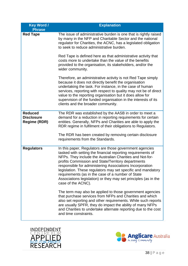| <b>Key Word /</b><br><b>Phrase</b>                         | <b>Explanation</b>                                                                                                                                                                                                                                                                                                                                                                                                                                                                                                 |
|------------------------------------------------------------|--------------------------------------------------------------------------------------------------------------------------------------------------------------------------------------------------------------------------------------------------------------------------------------------------------------------------------------------------------------------------------------------------------------------------------------------------------------------------------------------------------------------|
| <b>Red Tape</b>                                            | The issue of administrative burden is one that is rightly raised<br>by many in the NFP and Charitable Sector and the national<br>regulator for Charities, the ACNC, has a legislated obligation<br>to seek to reduce administrative burden.                                                                                                                                                                                                                                                                        |
|                                                            | Red Tape is defined here as that administrative activity that<br>costs more to undertake than the value of the benefits<br>provided to the organisation, its stakeholders, and/or the<br>wider community.                                                                                                                                                                                                                                                                                                          |
|                                                            | Therefore, an administrative activity is not Red Tape simply<br>because it does not directly benefit the organisation<br>undertaking the task. For instance, in the case of human<br>services, reporting with respect to quality may not be of direct<br>value to the reporting organisation but it does allow for<br>supervision of the funded organisation in the interests of its<br>clients and the broader community.                                                                                         |
| <b>Reduced</b><br><b>Disclosure</b><br><b>Regime (RDR)</b> | The RDR was established by the AASB in order to meet a<br>demand for a reduction in reporting requirements for certain<br>entities. Generally, NFPs and Charities are able to apply the<br>RDR regime in fulfilment of their obligations to Regulators.                                                                                                                                                                                                                                                            |
|                                                            | The RDR has been created by removing certain disclosure<br>requirements from the Standards.                                                                                                                                                                                                                                                                                                                                                                                                                        |
| <b>Regulators</b>                                          | In this paper, Regulators are those government agencies<br>tasked with setting the financial reporting requirements of<br>NFPs. They include the Australian Charities and Not-for-<br>profits Commission and State/Territory departments<br>responsible for administering Associations Incorporation<br>legislation. These regulators may set specific and mandatory<br>requirements (as in the case of a number of State<br>Associations legislation) or they may set principles (as in the<br>case of the ACNC). |
|                                                            | The term may also be applied to those government agencies<br>that purchase services from NFPs and Charities and which<br>also set reporting and other requirements. While such reports<br>are usually SPFR, they do impact the ability of many NFPs<br>and Charities to undertake alternate reporting due to the cost<br>and time constraints.                                                                                                                                                                     |



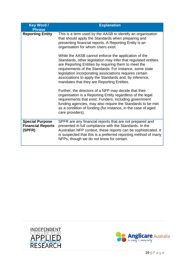| <b>Key Word /</b><br><b>Phrase</b>                           | <b>Explanation</b>                                                                                                                                                                                                                                                                                                                                                                                           |
|--------------------------------------------------------------|--------------------------------------------------------------------------------------------------------------------------------------------------------------------------------------------------------------------------------------------------------------------------------------------------------------------------------------------------------------------------------------------------------------|
| <b>Reporting Entity</b>                                      | This is a term used by the AASB to identify an organisation<br>that should apply the Standards when preparing and<br>presenting financial reports. A Reporting Entity is an<br>organisation for whom Users exist.                                                                                                                                                                                            |
|                                                              | While the AASB cannot enforce the application of the<br>Standards, other legislation may infer that regulated entities<br>are Reporting Entities by requiring them to meet the<br>requirements of the Standards. For instance, some state<br>legislation incorporating associations requires certain<br>associations to apply the Standards and, by inference,<br>mandates that they are Reporting Entities. |
|                                                              | Further, the directors of a NFP may decide that their<br>organisation is a Reporting Entity regardless of the legal<br>requirements that exist. Funders, including government<br>funding agencies, may also require the Standards to be met<br>as a condition of funding (for instance, in the case of aged<br>care providers).                                                                              |
| <b>Special Purpose</b><br><b>Financial Reports</b><br>(SPFR) | SPFR are any financial reports that are not prepared and<br>presented in full compliance with the Standards. In the<br>Australian NFP context, these reports can be sophisticated. It<br>is suspected that this is a preferred reporting method of many<br>NFPs, though we do not know for certain.                                                                                                          |



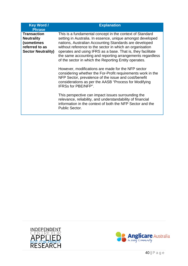| <b>Key Word /</b><br><b>Phrase</b>                                                                   | <b>Explanation</b>                                                                                                                                                                                                                                                                                                                                                                                                                                                                                                                                                                                                                                                                                                                                                                                                                                                                                |
|------------------------------------------------------------------------------------------------------|---------------------------------------------------------------------------------------------------------------------------------------------------------------------------------------------------------------------------------------------------------------------------------------------------------------------------------------------------------------------------------------------------------------------------------------------------------------------------------------------------------------------------------------------------------------------------------------------------------------------------------------------------------------------------------------------------------------------------------------------------------------------------------------------------------------------------------------------------------------------------------------------------|
| <b>Transaction</b><br><b>Neutrality</b><br>(sometimes<br>referred to as<br><b>Sector Neutrality)</b> | This is a fundamental concept in the context of Standard<br>setting in Australia. In essence, unique amongst developed<br>nations, Australian Accounting Standards are developed<br>without reference to the sector in which an organisation<br>operates and using IFRS as a base. That is, they facilitate<br>the same accounting and reporting arrangements regardless<br>of the sector in which the Reporting Entity operates.<br>However, modifications are made for the NFP sector<br>considering whether the For-Profit requirements work in the<br>NFP Sector, prevalence of the issue and cost/benefit<br>considerations as per the AASB "Process for Modifying<br>IFRSs for PBE/NFP".<br>This perspective can impact issues surrounding the<br>relevance, reliability, and understandability of financial<br>information in the context of both the NFP Sector and the<br>Public Sector. |
|                                                                                                      |                                                                                                                                                                                                                                                                                                                                                                                                                                                                                                                                                                                                                                                                                                                                                                                                                                                                                                   |



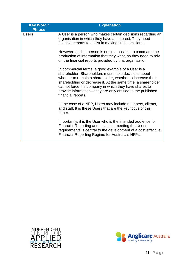| <b>Key Word /</b><br><b>Phrase</b> | <b>Explanation</b>                                                                                                                                                                                                                                                                                                                                                                    |
|------------------------------------|---------------------------------------------------------------------------------------------------------------------------------------------------------------------------------------------------------------------------------------------------------------------------------------------------------------------------------------------------------------------------------------|
| <b>Users</b>                       | A User is a person who makes certain decisions regarding an<br>organisation in which they have an interest. They need<br>financial reports to assist in making such decisions.                                                                                                                                                                                                        |
|                                    | However, such a person is not in a position to command the<br>production of information that they want, so they need to rely<br>on the financial reports provided by that organisation.                                                                                                                                                                                               |
|                                    | In commercial terms, a good example of a User is a<br>shareholder. Shareholders must make decisions about<br>whether to remain a shareholder, whether to increase their<br>shareholding or decrease it. At the same time, a shareholder<br>cannot force the company in which they have shares to<br>provide information—they are only entitled to the published<br>financial reports. |
|                                    | In the case of a NFP, Users may include members, clients,<br>and staff. It is these Users that are the key focus of this<br>paper.                                                                                                                                                                                                                                                    |
|                                    | Importantly, it is the User who is the intended audience for<br>Financial Reporting and, as such, meeting the User's<br>requirements is central to the development of a cost effective<br>Financial Reporting Regime for Australia's NFPs.                                                                                                                                            |
|                                    |                                                                                                                                                                                                                                                                                                                                                                                       |